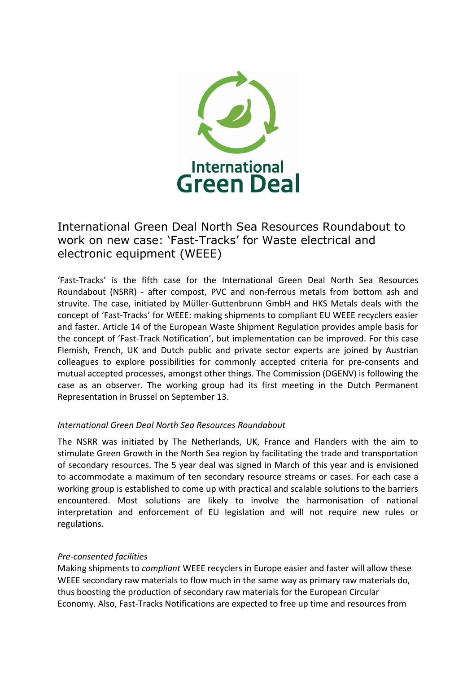

## International Green Deal North Sea Resources Roundabout to work on new case: 'Fast-Tracks' for Waste electrical and electronic equipment (WEEE)

'Fast-Tracks' is the fifth case for the International Green Deal North Sea Resources Roundabout (NSRR) - after compost, PVC and non-ferrous metals from bottom ash and struvite. The case, initiated by Müller-Guttenbrunn GmbH and HKS Metals deals with the concept of 'Fast-Tracks' for WEEE: making shipments to compliant EU WEEE recyclers easier and faster. Article 14 of the European Waste Shipment Regulation provides ample basis for the concept of 'Fast-Track Notification', but implementation can be improved. For this case Flemish, French, UK and Dutch public and private sector experts are joined by Austrian colleagues to explore possibilities for commonly accepted criteria for pre-consents and mutual accepted processes, amongst other things. The Commission (DGENV) is following the case as an observer. The working group had its first meeting in the Dutch Permanent Representation in Brussel on September 13.

## *International Green Deal North Sea Resources Roundabout*

The NSRR was initiated by The Netherlands, UK, France and Flanders with the aim to stimulate Green Growth in the North Sea region by facilitating the trade and transportation of secondary resources. The 5 year deal was signed in March of this year and is envisioned to accommodate a maximum of ten secondary resource streams or cases. For each case a working group is established to come up with practical and scalable solutions to the barriers encountered. Most solutions are likely to involve the harmonisation of national interpretation and enforcement of EU legislation and will not require new rules or regulations.

## *Pre-consented facilities*

Making shipments to *compliant* WEEE recyclers in Europe easier and faster will allow these WEEE secondary raw materials to flow much in the same way as primary raw materials do, thus boosting the production of secondary raw materials for the European Circular Economy. Also, Fast-Tracks Notifications are expected to free up time and resources from